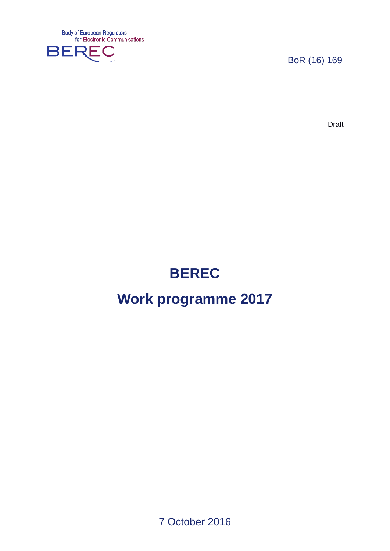**Body of European Regulators** for Electronic Communications



BoR (16) 169

Draft

# **BEREC**

# **Work programme 2017**

7 October 2016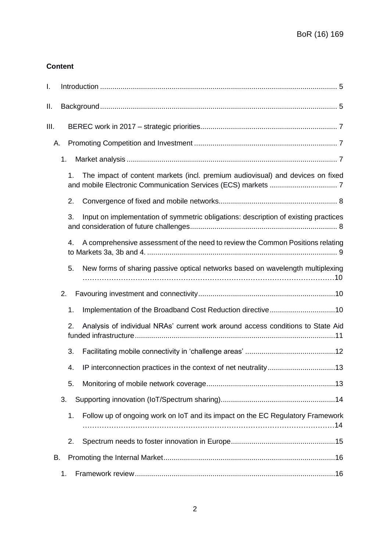# **Content**

| I.   |    |                                                                                     |
|------|----|-------------------------------------------------------------------------------------|
| Ш.   |    |                                                                                     |
| III. |    |                                                                                     |
| А.   |    |                                                                                     |
|      | 1. |                                                                                     |
|      | 1. | The impact of content markets (incl. premium audiovisual) and devices on fixed      |
|      | 2. |                                                                                     |
|      | 3. | Input on implementation of symmetric obligations: description of existing practices |
|      | 4. | A comprehensive assessment of the need to review the Common Positions relating      |
|      | 5. | New forms of sharing passive optical networks based on wavelength multiplexing      |
|      | 2. |                                                                                     |
|      | 1. |                                                                                     |
|      | 2. | Analysis of individual NRAs' current work around access conditions to State Aid     |
|      | 3. |                                                                                     |
|      | 4. |                                                                                     |
|      | 5. |                                                                                     |
|      | 3. |                                                                                     |
|      | 1. | Follow up of ongoing work on IoT and its impact on the EC Regulatory Framework      |
|      | 2. |                                                                                     |
| В.   |    |                                                                                     |
|      | 1. |                                                                                     |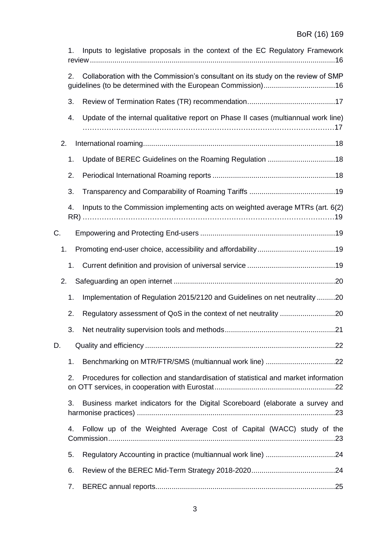|    | 1. | Inputs to legislative proposals in the context of the EC Regulatory Framework       |  |
|----|----|-------------------------------------------------------------------------------------|--|
|    | 2. | Collaboration with the Commission's consultant on its study on the review of SMP    |  |
|    | 3. |                                                                                     |  |
|    | 4. | Update of the internal qualitative report on Phase II cases (multiannual work line) |  |
| 2. |    |                                                                                     |  |
|    | 1. |                                                                                     |  |
|    | 2. |                                                                                     |  |
|    | 3. |                                                                                     |  |
|    | 4. | Inputs to the Commission implementing acts on weighted average MTRs (art. 6(2)      |  |
| С. |    |                                                                                     |  |
| 1. |    |                                                                                     |  |
|    | 1. |                                                                                     |  |
| 2. |    |                                                                                     |  |
|    | 1. | Implementation of Regulation 2015/2120 and Guidelines on net neutrality20           |  |
|    | 2. | Regulatory assessment of QoS in the context of net neutrality 20                    |  |
|    | 3. |                                                                                     |  |
| D. |    |                                                                                     |  |
|    | 1. | Benchmarking on MTR/FTR/SMS (multiannual work line) 22                              |  |
|    | 2. | Procedures for collection and standardisation of statistical and market information |  |
|    | 3. | Business market indicators for the Digital Scoreboard (elaborate a survey and       |  |
|    | 4. | Follow up of the Weighted Average Cost of Capital (WACC) study of the               |  |
|    | 5. |                                                                                     |  |
|    | 6. |                                                                                     |  |
|    | 7. |                                                                                     |  |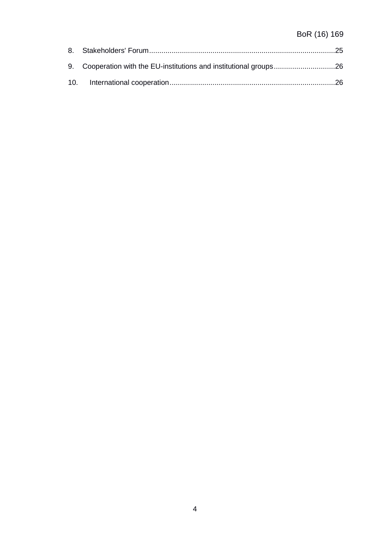# BoR (16) 169

| 9. Cooperation with the EU-institutions and institutional groups26 |  |
|--------------------------------------------------------------------|--|
|                                                                    |  |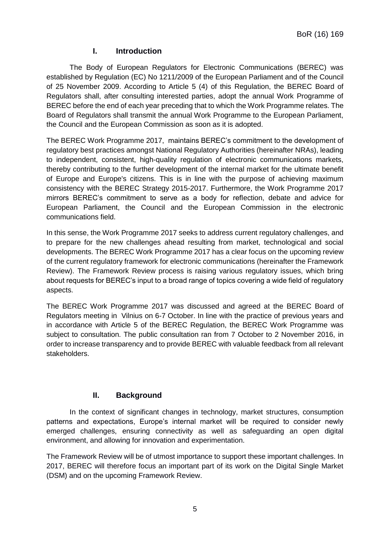# **I. Introduction**

<span id="page-4-0"></span>The Body of European Regulators for Electronic Communications (BEREC) was established by Regulation (EC) No 1211/2009 of the European Parliament and of the Council of 25 November 2009. According to Article 5 (4) of this Regulation, the BEREC Board of Regulators shall, after consulting interested parties, adopt the annual Work Programme of BEREC before the end of each year preceding that to which the Work Programme relates. The Board of Regulators shall transmit the annual Work Programme to the European Parliament, the Council and the European Commission as soon as it is adopted.

The BEREC Work Programme 2017, maintains BEREC's commitment to the development of regulatory best practices amongst National Regulatory Authorities (hereinafter NRAs), leading to independent, consistent, high-quality regulation of electronic communications markets, thereby contributing to the further development of the internal market for the ultimate benefit of Europe and Europe's citizens. This is in line with the purpose of achieving maximum consistency with the BEREC Strategy 2015-2017. Furthermore, the Work Programme 2017 mirrors BEREC's commitment to serve as a body for reflection, debate and advice for European Parliament, the Council and the European Commission in the electronic communications field.

In this sense, the Work Programme 2017 seeks to address current regulatory challenges, and to prepare for the new challenges ahead resulting from market, technological and social developments. The BEREC Work Programme 2017 has a clear focus on the upcoming review of the current regulatory framework for electronic communications (hereinafter the Framework Review). The Framework Review process is raising various regulatory issues, which bring about requests for BEREC's input to a broad range of topics covering a wide field of regulatory aspects.

The BEREC Work Programme 2017 was discussed and agreed at the BEREC Board of Regulators meeting in Vilnius on 6-7 October. In line with the practice of previous years and in accordance with Article 5 of the BEREC Regulation, the BEREC Work Programme was subject to consultation. The public consultation ran from 7 October to 2 November 2016, in order to increase transparency and to provide BEREC with valuable feedback from all relevant stakeholders.

# **II. Background**

<span id="page-4-1"></span>In the context of significant changes in technology, market structures, consumption patterns and expectations, Europe's internal market will be required to consider newly emerged challenges, ensuring connectivity as well as safeguarding an open digital environment, and allowing for innovation and experimentation.

The Framework Review will be of utmost importance to support these important challenges. In 2017, BEREC will therefore focus an important part of its work on the Digital Single Market (DSM) and on the upcoming Framework Review.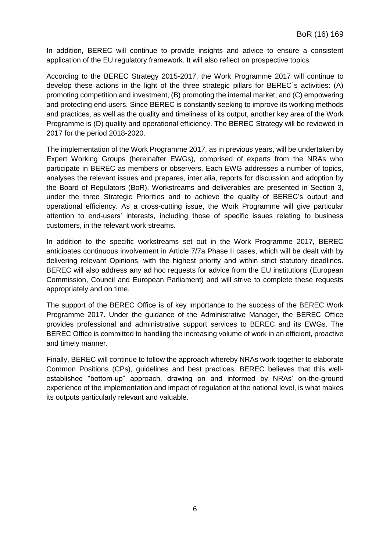In addition, BEREC will continue to provide insights and advice to ensure a consistent application of the EU regulatory framework. It will also reflect on prospective topics.

According to the BEREC Strategy 2015-2017, the Work Programme 2017 will continue to develop these actions in the light of the three strategic pillars for BEREC´s activities: (A) promoting competition and investment, (B) promoting the internal market, and (C) empowering and protecting end-users. Since BEREC is constantly seeking to improve its working methods and practices, as well as the quality and timeliness of its output, another key area of the Work Programme is (D) quality and operational efficiency. The BEREC Strategy will be reviewed in 2017 for the period 2018-2020.

The implementation of the Work Programme 2017, as in previous years, will be undertaken by Expert Working Groups (hereinafter EWGs), comprised of experts from the NRAs who participate in BEREC as members or observers. Each EWG addresses a number of topics, analyses the relevant issues and prepares, inter alia, reports for discussion and adoption by the Board of Regulators (BoR). Workstreams and deliverables are presented in Section 3, under the three Strategic Priorities and to achieve the quality of BEREC's output and operational efficiency. As a cross-cutting issue, the Work Programme will give particular attention to end-users' interests, including those of specific issues relating to business customers, in the relevant work streams.

In addition to the specific workstreams set out in the Work Programme 2017, BEREC anticipates continuous involvement in Article 7/7a Phase II cases, which will be dealt with by delivering relevant Opinions, with the highest priority and within strict statutory deadlines. BEREC will also address any ad hoc requests for advice from the EU institutions (European Commission, Council and European Parliament) and will strive to complete these requests appropriately and on time.

The support of the BEREC Office is of key importance to the success of the BEREC Work Programme 2017. Under the guidance of the Administrative Manager, the BEREC Office provides professional and administrative support services to BEREC and its EWGs. The BEREC Office is committed to handling the increasing volume of work in an efficient, proactive and timely manner.

Finally, BEREC will continue to follow the approach whereby NRAs work together to elaborate Common Positions (CPs), guidelines and best practices. BEREC believes that this wellestablished "bottom-up" approach, drawing on and informed by NRAs' on-the-ground experience of the implementation and impact of regulation at the national level, is what makes its outputs particularly relevant and valuable.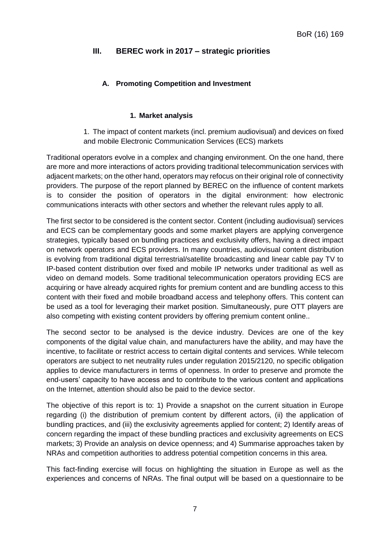# <span id="page-6-0"></span>**III. BEREC work in 2017 – strategic priorities**

# <span id="page-6-1"></span>**A. Promoting Competition and Investment**

#### **1. Market analysis**

<span id="page-6-2"></span>1. The impact of content markets (incl. premium audiovisual) and devices on fixed and mobile Electronic Communication Services (ECS) markets

<span id="page-6-3"></span>Traditional operators evolve in a complex and changing environment. On the one hand, there are more and more interactions of actors providing traditional telecommunication services with adjacent markets; on the other hand, operators may refocus on their original role of connectivity providers. The purpose of the report planned by BEREC on the influence of content markets is to consider the position of operators in the digital environment: how electronic communications interacts with other sectors and whether the relevant rules apply to all.

The first sector to be considered is the content sector. Content (including audiovisual) services and ECS can be complementary goods and some market players are applying convergence strategies, typically based on bundling practices and exclusivity offers, having a direct impact on network operators and ECS providers. In many countries, audiovisual content distribution is evolving from traditional digital terrestrial/satellite broadcasting and linear cable pay TV to IP-based content distribution over fixed and mobile IP networks under traditional as well as video on demand models. Some traditional telecommunication operators providing ECS are acquiring or have already acquired rights for premium content and are bundling access to this content with their fixed and mobile broadband access and telephony offers. This content can be used as a tool for leveraging their market position. Simultaneously, pure OTT players are also competing with existing content providers by offering premium content online..

The second sector to be analysed is the device industry. Devices are one of the key components of the digital value chain, and manufacturers have the ability, and may have the incentive, to facilitate or restrict access to certain digital contents and services*.* While telecom operators are subject to net neutrality rules under regulation 2015/2120, no specific obligation applies to device manufacturers in terms of openness. In order to preserve and promote the end-users' capacity to have access and to contribute to the various content and applications on the Internet, attention should also be paid to the device sector.

The objective of this report is to: 1) Provide a snapshot on the current situation in Europe regarding (i) the distribution of premium content by different actors, (ii) the application of bundling practices, and (iii) the exclusivity agreements applied for content; 2) Identify areas of concern regarding the impact of these bundling practices and exclusivity agreements on ECS markets; 3) Provide an analysis on device openness; and 4) Summarise approaches taken by NRAs and competition authorities to address potential competition concerns in this area.

This fact-finding exercise will focus on highlighting the situation in Europe as well as the experiences and concerns of NRAs. The final output will be based on a questionnaire to be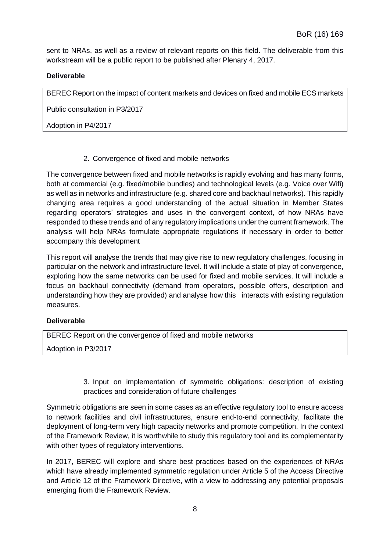sent to NRAs, as well as a review of relevant reports on this field. The deliverable from this workstream will be a public report to be published after Plenary 4, 2017.

# **Deliverable**

BEREC Report on the impact of content markets and devices on fixed and mobile ECS markets

Public consultation in P3/2017

Adoption in P4/2017

2. Convergence of fixed and mobile networks

<span id="page-7-0"></span>The convergence between fixed and mobile networks is rapidly evolving and has many forms, both at commercial (e.g. fixed/mobile bundles) and technological levels (e.g. Voice over Wifi) as well as in networks and infrastructure (e.g. shared core and backhaul networks). This rapidly changing area requires a good understanding of the actual situation in Member States regarding operators' strategies and uses in the convergent context, of how NRAs have responded to these trends and of any regulatory implications under the current framework. The analysis will help NRAs formulate appropriate regulations if necessary in order to better accompany this development

This report will analyse the trends that may give rise to new regulatory challenges, focusing in particular on the network and infrastructure level. It will include a state of play of convergence, exploring how the same networks can be used for fixed and mobile services. It will include a focus on backhaul connectivity (demand from operators, possible offers, description and understanding how they are provided) and analyse how this interacts with existing regulation measures.

# **Deliverable**

BEREC Report on the convergence of fixed and mobile networks

<span id="page-7-1"></span>Adoption in P3/2017

3. Input on implementation of symmetric obligations: description of existing practices and consideration of future challenges

Symmetric obligations are seen in some cases as an effective regulatory tool to ensure access to network facilities and civil infrastructures, ensure end-to-end connectivity, facilitate the deployment of long-term very high capacity networks and promote competition. In the context of the Framework Review, it is worthwhile to study this regulatory tool and its complementarity with other types of regulatory interventions.

In 2017, BEREC will explore and share best practices based on the experiences of NRAs which have already implemented symmetric regulation under Article 5 of the Access Directive and Article 12 of the Framework Directive, with a view to addressing any potential proposals emerging from the Framework Review.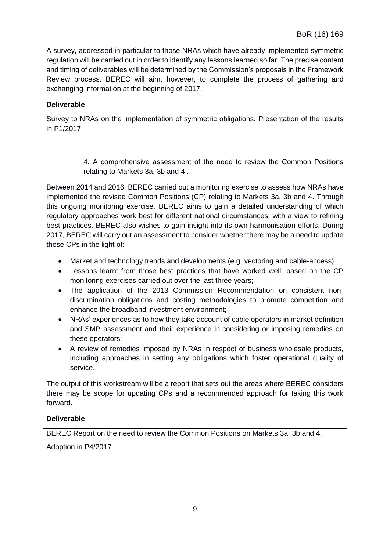A survey, addressed in particular to those NRAs which have already implemented symmetric regulation will be carried out in order to identify any lessons learned so far. The precise content and timing of deliverables will be determined by the Commission's proposals in the Framework Review process. BEREC will aim, however, to complete the process of gathering and exchanging information at the beginning of 2017.

# **Deliverable**

Survey to NRAs on the implementation of symmetric obligations. Presentation of the results in P1/2017

> 4. A comprehensive assessment of the need to review the Common Positions relating to Markets 3a, 3b and 4 .

<span id="page-8-0"></span>Between 2014 and 2016, BEREC carried out a monitoring exercise to assess how NRAs have implemented the revised Common Positions (CP) relating to Markets 3a, 3b and 4. Through this ongoing monitoring exercise, BEREC aims to gain a detailed understanding of which regulatory approaches work best for different national circumstances, with a view to refining best practices. BEREC also wishes to gain insight into its own harmonisation efforts. During 2017, BEREC will carry out an assessment to consider whether there may be a need to update these CPs in the light of:

- Market and technology trends and developments (e.g. vectoring and cable-access)
- Lessons learnt from those best practices that have worked well, based on the CP monitoring exercises carried out over the last three years;
- The application of the 2013 Commission Recommendation on consistent nondiscrimination obligations and costing methodologies to promote competition and enhance the broadband investment environment;
- NRAs' experiences as to how they take account of cable operators in market definition and SMP assessment and their experience in considering or imposing remedies on these operators;
- A review of remedies imposed by NRAs in respect of business wholesale products, including approaches in setting any obligations which foster operational quality of service.

The output of this workstream will be a report that sets out the areas where BEREC considers there may be scope for updating CPs and a recommended approach for taking this work forward.

# **Deliverable**

BEREC Report on the need to review the Common Positions on Markets 3a, 3b and 4.

Adoption in P4/2017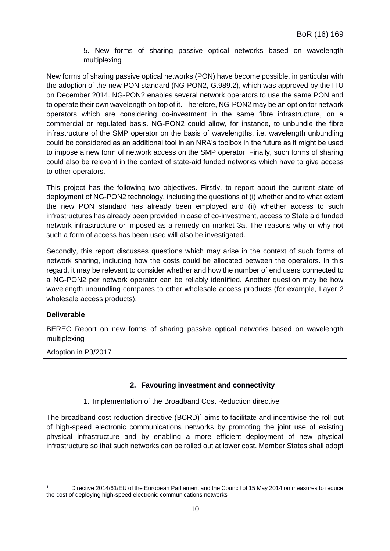<span id="page-9-0"></span>5. New forms of sharing passive optical networks based on wavelength multiplexing

New forms of sharing passive optical networks (PON) have become possible, in particular with the adoption of the new PON standard (NG-PON2, G.989.2), which was approved by the ITU on December 2014. NG-PON2 enables several network operators to use the same PON and to operate their own wavelength on top of it. Therefore, NG-PON2 may be an option for network operators which are considering co-investment in the same fibre infrastructure, on a commercial or regulated basis. NG-PON2 could allow, for instance, to unbundle the fibre infrastructure of the SMP operator on the basis of wavelengths, i.e. wavelength unbundling could be considered as an additional tool in an NRA's toolbox in the future as it might be used to impose a new form of network access on the SMP operator. Finally, such forms of sharing could also be relevant in the context of state-aid funded networks which have to give access to other operators.

This project has the following two objectives. Firstly, to report about the current state of deployment of NG-PON2 technology, including the questions of (i) whether and to what extent the new PON standard has already been employed and (ii) whether access to such infrastructures has already been provided in case of co-investment, access to State aid funded network infrastructure or imposed as a remedy on market 3a. The reasons why or why not such a form of access has been used will also be investigated.

Secondly, this report discusses questions which may arise in the context of such forms of network sharing, including how the costs could be allocated between the operators. In this regard, it may be relevant to consider whether and how the number of end users connected to a NG-PON2 per network operator can be reliably identified. Another question may be how wavelength unbundling compares to other wholesale access products (for example, Layer 2 wholesale access products).

# **Deliverable**

 $\overline{a}$ 

BEREC Report on new forms of sharing passive optical networks based on wavelength multiplexing

Adoption in P3/2017

# <span id="page-9-1"></span>**2. Favouring investment and connectivity**

1. Implementation of the Broadband Cost Reduction directive

<span id="page-9-2"></span>The broadband cost reduction directive  $(BCRD)^1$  aims to facilitate and incentivise the roll-out of high-speed electronic communications networks by promoting the joint use of existing physical infrastructure and by enabling a more efficient deployment of new physical infrastructure so that such networks can be rolled out at lower cost. Member States shall adopt

Directive 2014/61/EU of the European Parliament and the Council of 15 May 2014 on measures to reduce the cost of deploying high-speed electronic communications networks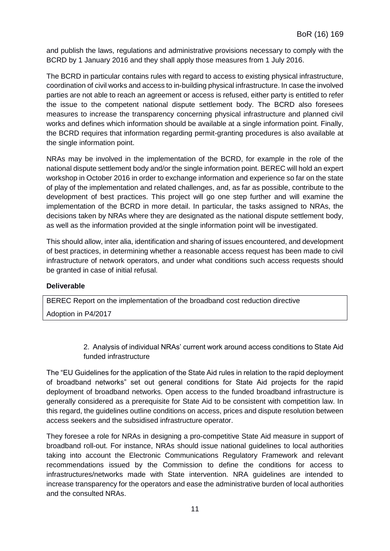and publish the laws, regulations and administrative provisions necessary to comply with the BCRD by 1 January 2016 and they shall apply those measures from 1 July 2016.

The BCRD in particular contains rules with regard to access to existing physical infrastructure, coordination of civil works and access to in-building physical infrastructure. In case the involved parties are not able to reach an agreement or access is refused, either party is entitled to refer the issue to the competent national dispute settlement body. The BCRD also foresees measures to increase the transparency concerning physical infrastructure and planned civil works and defines which information should be available at a single information point. Finally, the BCRD requires that information regarding permit-granting procedures is also available at the single information point.

NRAs may be involved in the implementation of the BCRD, for example in the role of the national dispute settlement body and/or the single information point. BEREC will hold an expert workshop in October 2016 in order to exchange information and experience so far on the state of play of the implementation and related challenges, and, as far as possible, contribute to the development of best practices. This project will go one step further and will examine the implementation of the BCRD in more detail. In particular, the tasks assigned to NRAs, the decisions taken by NRAs where they are designated as the national dispute settlement body, as well as the information provided at the single information point will be investigated.

This should allow, inter alia, identification and sharing of issues encountered, and development of best practices, in determining whether a reasonable access request has been made to civil infrastructure of network operators, and under what conditions such access requests should be granted in case of initial refusal.

#### **Deliverable**

BEREC Report on the implementation of the broadband cost reduction directive Adoption in P4/2017

> 2. Analysis of individual NRAs' current work around access conditions to State Aid funded infrastructure

<span id="page-10-0"></span>The "EU Guidelines for the application of the State Aid rules in relation to the rapid deployment of broadband networks" set out general conditions for State Aid projects for the rapid deployment of broadband networks. Open access to the funded broadband infrastructure is generally considered as a prerequisite for State Aid to be consistent with competition law. In this regard, the guidelines outline conditions on access, prices and dispute resolution between access seekers and the subsidised infrastructure operator.

They foresee a role for NRAs in designing a pro-competitive State Aid measure in support of broadband roll-out. For instance, NRAs should issue national guidelines to local authorities taking into account the Electronic Communications Regulatory Framework and relevant recommendations issued by the Commission to define the conditions for access to infrastructures/networks made with State intervention. NRA guidelines are intended to increase transparency for the operators and ease the administrative burden of local authorities and the consulted NRAs.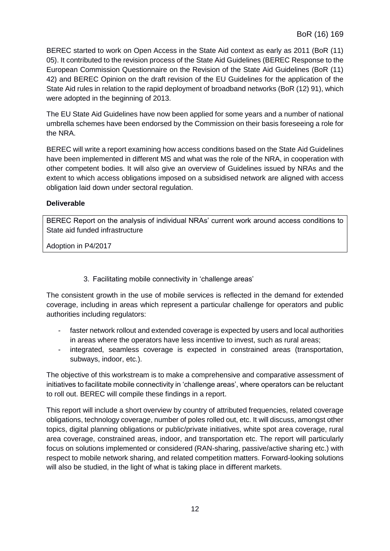BEREC started to work on Open Access in the State Aid context as early as 2011 (BoR (11) 05). It contributed to the revision process of the State Aid Guidelines (BEREC Response to the European Commission Questionnaire on the Revision of the State Aid Guidelines (BoR (11) 42) and BEREC Opinion on the draft revision of the EU Guidelines for the application of the State Aid rules in relation to the rapid deployment of broadband networks (BoR (12) 91), which were adopted in the beginning of 2013.

The EU State Aid Guidelines have now been applied for some years and a number of national umbrella schemes have been endorsed by the Commission on their basis foreseeing a role for the NRA.

BEREC will write a report examining how access conditions based on the State Aid Guidelines have been implemented in different MS and what was the role of the NRA, in cooperation with other competent bodies. It will also give an overview of Guidelines issued by NRAs and the extent to which access obligations imposed on a subsidised network are aligned with access obligation laid down under sectoral regulation.

#### **Deliverable**

BEREC Report on the analysis of individual NRAs' current work around access conditions to State aid funded infrastructure

Adoption in P4/2017

3. Facilitating mobile connectivity in 'challenge areas'

<span id="page-11-0"></span>The consistent growth in the use of mobile services is reflected in the demand for extended coverage, including in areas which represent a particular challenge for operators and public authorities including regulators:

- faster network rollout and extended coverage is expected by users and local authorities in areas where the operators have less incentive to invest, such as rural areas;
- integrated, seamless coverage is expected in constrained areas (transportation, subways, indoor, etc.).

The objective of this workstream is to make a comprehensive and comparative assessment of initiatives to facilitate mobile connectivity in 'challenge areas', where operators can be reluctant to roll out. BEREC will compile these findings in a report.

This report will include a short overview by country of attributed frequencies, related coverage obligations, technology coverage, number of poles rolled out, etc. It will discuss, amongst other topics, digital planning obligations or public/private initiatives, white spot area coverage, rural area coverage, constrained areas, indoor, and transportation etc. The report will particularly focus on solutions implemented or considered (RAN-sharing, passive/active sharing etc.) with respect to mobile network sharing, and related competition matters. Forward-looking solutions will also be studied, in the light of what is taking place in different markets.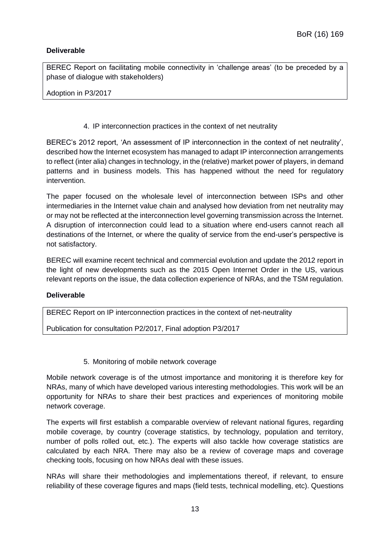# **Deliverable**

BEREC Report on facilitating mobile connectivity in 'challenge areas' (to be preceded by a phase of dialogue with stakeholders)

Adoption in P3/2017

#### 4. IP interconnection practices in the context of net neutrality

<span id="page-12-0"></span>BEREC's 2012 report, 'An assessment of IP interconnection in the context of net neutrality', described how the Internet ecosystem has managed to adapt IP interconnection arrangements to reflect (inter alia) changes in technology, in the (relative) market power of players, in demand patterns and in business models. This has happened without the need for regulatory intervention.

The paper focused on the wholesale level of interconnection between ISPs and other intermediaries in the Internet value chain and analysed how deviation from net neutrality may or may not be reflected at the interconnection level governing transmission across the Internet. A disruption of interconnection could lead to a situation where end-users cannot reach all destinations of the Internet, or where the quality of service from the end-user's perspective is not satisfactory.

BEREC will examine recent technical and commercial evolution and update the 2012 report in the light of new developments such as the 2015 Open Internet Order in the US, various relevant reports on the issue, the data collection experience of NRAs, and the TSM regulation.

#### **Deliverable**

BEREC Report on IP interconnection practices in the context of net-neutrality

Publication for consultation P2/2017, Final adoption P3/2017

5. Monitoring of mobile network coverage

<span id="page-12-1"></span>Mobile network coverage is of the utmost importance and monitoring it is therefore key for NRAs, many of which have developed various interesting methodologies. This work will be an opportunity for NRAs to share their best practices and experiences of monitoring mobile network coverage.

The experts will first establish a comparable overview of relevant national figures, regarding mobile coverage, by country (coverage statistics, by technology, population and territory, number of polls rolled out, etc.). The experts will also tackle how coverage statistics are calculated by each NRA. There may also be a review of coverage maps and coverage checking tools, focusing on how NRAs deal with these issues.

NRAs will share their methodologies and implementations thereof, if relevant, to ensure reliability of these coverage figures and maps (field tests, technical modelling, etc). Questions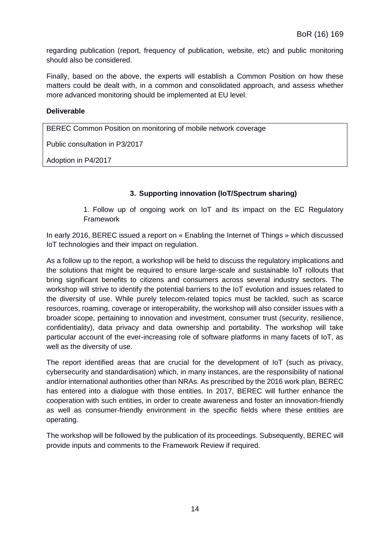regarding publication (report, frequency of publication, website, etc) and public monitoring should also be considered.

Finally, based on the above, the experts will establish a Common Position on how these matters could be dealt with, in a common and consolidated approach, and assess whether more advanced monitoring should be implemented at EU level.

#### **Deliverable**

BEREC Common Position on monitoring of mobile network coverage

Public consultation in P3/2017

<span id="page-13-0"></span>Adoption in P4/2017

# **3. Supporting innovation (IoT/Spectrum sharing)**

1. Follow up of ongoing work on IoT and its impact on the EC Regulatory Framework

<span id="page-13-1"></span>In early 2016, BEREC issued a report on « Enabling the Internet of Things » which discussed IoT technologies and their impact on regulation.

As a follow up to the report, a workshop will be held to discuss the regulatory implications and the solutions that might be required to ensure large-scale and sustainable IoT rollouts that bring significant benefits to citizens and consumers across several industry sectors. The workshop will strive to identify the potential barriers to the IoT evolution and issues related to the diversity of use. While purely telecom-related topics must be tackled, such as scarce resources, roaming, coverage or interoperability, the workshop will also consider issues with a broader scope, pertaining to innovation and investment, consumer trust (security, resilience, confidentiality), data privacy and data ownership and portability. The workshop will take particular account of the ever-increasing role of software platforms in many facets of IoT, as well as the diversity of use.

The report identified areas that are crucial for the development of IoT (such as privacy, cybersecurity and standardisation) which, in many instances, are the responsibility of national and/or international authorities other than NRAs. As prescribed by the 2016 work plan, BEREC has entered into a dialogue with those entities. In 2017, BEREC will further enhance the cooperation with such entities, in order to create awareness and foster an innovation-friendly as well as consumer-friendly environment in the specific fields where these entities are operating.

The workshop will be followed by the publication of its proceedings. Subsequently, BEREC will provide inputs and comments to the Framework Review if required.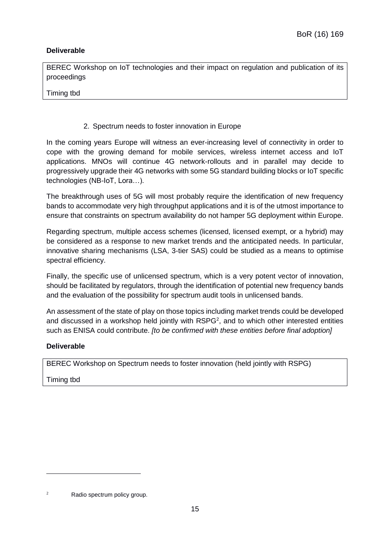# **Deliverable**

BEREC Workshop on IoT technologies and their impact on regulation and publication of its proceedings

Timing tbd

2. Spectrum needs to foster innovation in Europe

<span id="page-14-0"></span>In the coming years Europe will witness an ever-increasing level of connectivity in order to cope with the growing demand for mobile services, wireless internet access and IoT applications. MNOs will continue 4G network-rollouts and in parallel may decide to progressively upgrade their 4G networks with some 5G standard building blocks or IoT specific technologies (NB-IoT, Lora…).

The breakthrough uses of 5G will most probably require the identification of new frequency bands to accommodate very high throughput applications and it is of the utmost importance to ensure that constraints on spectrum availability do not hamper 5G deployment within Europe.

Regarding spectrum, multiple access schemes (licensed, licensed exempt, or a hybrid) may be considered as a response to new market trends and the anticipated needs. In particular, innovative sharing mechanisms (LSA, 3-tier SAS) could be studied as a means to optimise spectral efficiency.

Finally, the specific use of unlicensed spectrum, which is a very potent vector of innovation, should be facilitated by regulators, through the identification of potential new frequency bands and the evaluation of the possibility for spectrum audit tools in unlicensed bands.

An assessment of the state of play on those topics including market trends could be developed and discussed in a workshop held jointly with  $RSPG<sup>2</sup>$ , and to which other interested entities such as ENISA could contribute. *[to be confirmed with these entities before final adoption]*

# **Deliverable**

BEREC Workshop on Spectrum needs to foster innovation (held jointly with RSPG)

Timing tbd

<sup>&</sup>lt;sup>2</sup> Radio spectrum policy group.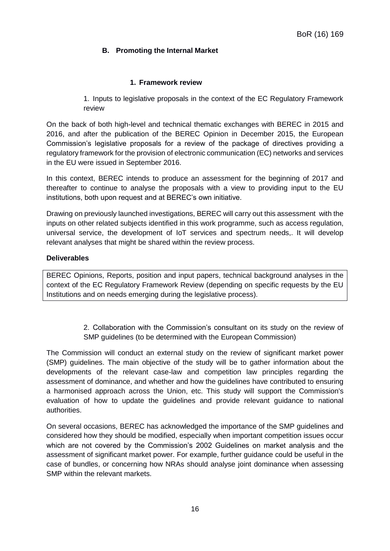# <span id="page-15-0"></span>**B. Promoting the Internal Market**

#### **1. Framework review**

<span id="page-15-1"></span>1. Inputs to legislative proposals in the context of the EC Regulatory Framework review

<span id="page-15-2"></span>On the back of both high-level and technical thematic exchanges with BEREC in 2015 and 2016, and after the publication of the BEREC Opinion in December 2015, the European Commission's legislative proposals for a review of the package of directives providing a regulatory framework for the provision of electronic communication (EC) networks and services in the EU were issued in September 2016.

In this context, BEREC intends to produce an assessment for the beginning of 2017 and thereafter to continue to analyse the proposals with a view to providing input to the EU institutions, both upon request and at BEREC's own initiative.

Drawing on previously launched investigations, BEREC will carry out this assessment with the inputs on other related subjects identified in this work programme, such as access regulation, universal service, the development of IoT services and spectrum needs,. It will develop relevant analyses that might be shared within the review process.

#### **Deliverables**

<span id="page-15-3"></span>BEREC Opinions, Reports, position and input papers, technical background analyses in the context of the EC Regulatory Framework Review (depending on specific requests by the EU Institutions and on needs emerging during the legislative process).

> 2. Collaboration with the Commission's consultant on its study on the review of SMP guidelines (to be determined with the European Commission)

The Commission will conduct an external study on the review of significant market power (SMP) guidelines. The main objective of the study will be to gather information about the developments of the relevant case-law and competition law principles regarding the assessment of dominance, and whether and how the guidelines have contributed to ensuring a harmonised approach across the Union, etc. This study will support the Commission's evaluation of how to update the guidelines and provide relevant guidance to national authorities.

On several occasions, BEREC has acknowledged the importance of the SMP guidelines and considered how they should be modified, especially when important competition issues occur which are not covered by the Commission's 2002 Guidelines on market analysis and the assessment of significant market power. For example, further guidance could be useful in the case of bundles, or concerning how NRAs should analyse joint dominance when assessing SMP within the relevant markets.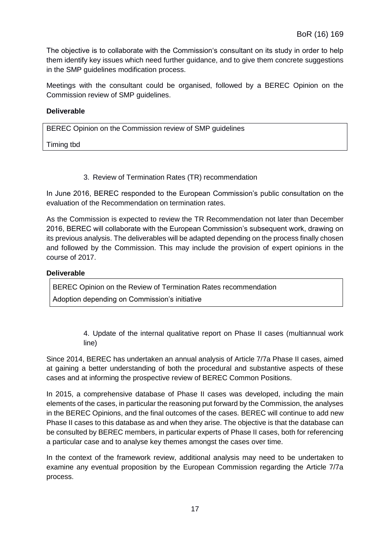The objective is to collaborate with the Commission's consultant on its study in order to help them identify key issues which need further guidance, and to give them concrete suggestions in the SMP guidelines modification process.

Meetings with the consultant could be organised, followed by a BEREC Opinion on the Commission review of SMP guidelines.

#### **Deliverable**

BEREC Opinion on the Commission review of SMP guidelines

Timing tbd

3. Review of Termination Rates (TR) recommendation

<span id="page-16-0"></span>In June 2016, BEREC responded to the European Commission's public consultation on the evaluation of the Recommendation on termination rates.

As the Commission is expected to review the TR Recommendation not later than December 2016, BEREC will collaborate with the European Commission's subsequent work, drawing on its previous analysis. The deliverables will be adapted depending on the process finally chosen and followed by the Commission. This may include the provision of expert opinions in the course of 2017.

#### **Deliverable**

BEREC Opinion on the Review of Termination Rates recommendation

<span id="page-16-1"></span>Adoption depending on Commission's initiative

4. Update of the internal qualitative report on Phase II cases (multiannual work line)

Since 2014, BEREC has undertaken an annual analysis of Article 7/7a Phase II cases, aimed at gaining a better understanding of both the procedural and substantive aspects of these cases and at informing the prospective review of BEREC Common Positions.

In 2015, a comprehensive database of Phase II cases was developed, including the main elements of the cases, in particular the reasoning put forward by the Commission, the analyses in the BEREC Opinions, and the final outcomes of the cases. BEREC will continue to add new Phase II cases to this database as and when they arise. The objective is that the database can be consulted by BEREC members, in particular experts of Phase II cases, both for referencing a particular case and to analyse key themes amongst the cases over time.

In the context of the framework review, additional analysis may need to be undertaken to examine any eventual proposition by the European Commission regarding the Article 7/7a process.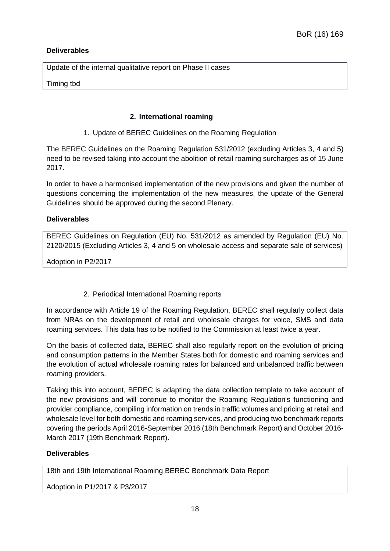# **Deliverables**

Update of the internal qualitative report on Phase II cases

<span id="page-17-0"></span>Timing tbd

#### **2. International roaming**

1. Update of BEREC Guidelines on the Roaming Regulation

<span id="page-17-1"></span>The BEREC Guidelines on the Roaming Regulation 531/2012 (excluding Articles 3, 4 and 5) need to be revised taking into account the abolition of retail roaming surcharges as of 15 June 2017.

In order to have a harmonised implementation of the new provisions and given the number of questions concerning the implementation of the new measures, the update of the General Guidelines should be approved during the second Plenary.

#### **Deliverables**

BEREC Guidelines on Regulation (EU) No. 531/2012 as amended by Regulation (EU) No. 2120/2015 (Excluding Articles 3, 4 and 5 on wholesale access and separate sale of services)

Adoption in P2/2017

2. Periodical International Roaming reports

<span id="page-17-2"></span>In accordance with Article 19 of the Roaming Regulation, BEREC shall regularly collect data from NRAs on the development of retail and wholesale charges for voice, SMS and data roaming services. This data has to be notified to the Commission at least twice a year.

On the basis of collected data, BEREC shall also regularly report on the evolution of pricing and consumption patterns in the Member States both for domestic and roaming services and the evolution of actual wholesale roaming rates for balanced and unbalanced traffic between roaming providers.

Taking this into account, BEREC is adapting the data collection template to take account of the new provisions and will continue to monitor the Roaming Regulation's functioning and provider compliance, compiling information on trends in traffic volumes and pricing at retail and wholesale level for both domestic and roaming services, and producing two benchmark reports covering the periods April 2016-September 2016 (18th Benchmark Report) and October 2016- March 2017 (19th Benchmark Report).

#### **Deliverables**

18th and 19th International Roaming BEREC Benchmark Data Report

Adoption in P1/2017 & P3/2017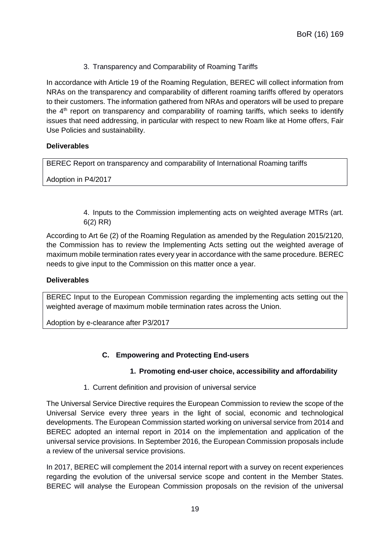3. Transparency and Comparability of Roaming Tariffs

<span id="page-18-0"></span>In accordance with Article 19 of the Roaming Regulation, BEREC will collect information from NRAs on the transparency and comparability of different roaming tariffs offered by operators to their customers. The information gathered from NRAs and operators will be used to prepare the  $4<sup>th</sup>$  report on transparency and comparability of roaming tariffs, which seeks to identify issues that need addressing, in particular with respect to new Roam like at Home offers, Fair Use Policies and sustainability.

#### **Deliverables**

BEREC Report on transparency and comparability of International Roaming tariffs

<span id="page-18-1"></span>Adoption in P4/2017

4. Inputs to the Commission implementing acts on weighted average MTRs (art. 6(2) RR)

According to Art 6e (2) of the Roaming Regulation as amended by the Regulation 2015/2120, the Commission has to review the Implementing Acts setting out the weighted average of maximum mobile termination rates every year in accordance with the same procedure. BEREC needs to give input to the Commission on this matter once a year.

#### **Deliverables**

BEREC Input to the European Commission regarding the implementing acts setting out the weighted average of maximum mobile termination rates across the Union.

<span id="page-18-2"></span>Adoption by e-clearance after P3/2017

#### **C. Empowering and Protecting End-users**

#### **1. Promoting end-user choice, accessibility and affordability**

#### 1. Current definition and provision of universal service

<span id="page-18-4"></span><span id="page-18-3"></span>The Universal Service Directive requires the European Commission to review the scope of the Universal Service every three years in the light of social, economic and technological developments. The European Commission started working on universal service from 2014 and BEREC adopted an internal report in 2014 on the implementation and application of the universal service provisions. In September 2016, the European Commission proposals include a review of the universal service provisions.

In 2017, BEREC will complement the 2014 internal report with a survey on recent experiences regarding the evolution of the universal service scope and content in the Member States. BEREC will analyse the European Commission proposals on the revision of the universal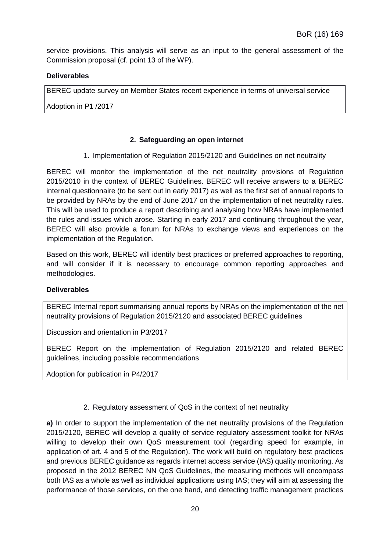service provisions. This analysis will serve as an input to the general assessment of the Commission proposal (cf. point 13 of the WP).

#### **Deliverables**

BEREC update survey on Member States recent experience in terms of universal service

<span id="page-19-0"></span>Adoption in P1 /2017

#### **2. Safeguarding an open internet**

1. Implementation of Regulation 2015/2120 and Guidelines on net neutrality

<span id="page-19-1"></span>BEREC will monitor the implementation of the net neutrality provisions of Regulation 2015/2010 in the context of BEREC Guidelines. BEREC will receive answers to a BEREC internal questionnaire (to be sent out in early 2017) as well as the first set of annual reports to be provided by NRAs by the end of June 2017 on the implementation of net neutrality rules. This will be used to produce a report describing and analysing how NRAs have implemented the rules and issues which arose. Starting in early 2017 and continuing throughout the year, BEREC will also provide a forum for NRAs to exchange views and experiences on the implementation of the Regulation.

Based on this work, BEREC will identify best practices or preferred approaches to reporting, and will consider if it is necessary to encourage common reporting approaches and methodologies.

#### **Deliverables**

BEREC Internal report summarising annual reports by NRAs on the implementation of the net neutrality provisions of Regulation 2015/2120 and associated BEREC guidelines

Discussion and orientation in P3/2017

BEREC Report on the implementation of Regulation 2015/2120 and related BEREC guidelines, including possible recommendations

Adoption for publication in P4/2017

#### 2. Regulatory assessment of QoS in the context of net neutrality

<span id="page-19-2"></span>**a)** In order to support the implementation of the net neutrality provisions of the Regulation 2015/2120, BEREC will develop a quality of service regulatory assessment toolkit for NRAs willing to develop their own QoS measurement tool (regarding speed for example, in application of art. 4 and 5 of the Regulation). The work will build on regulatory best practices and previous BEREC guidance as regards internet access service (IAS) quality monitoring. As proposed in the 2012 BEREC NN QoS Guidelines, the measuring methods will encompass both IAS as a whole as well as individual applications using IAS; they will aim at assessing the performance of those services, on the one hand, and detecting traffic management practices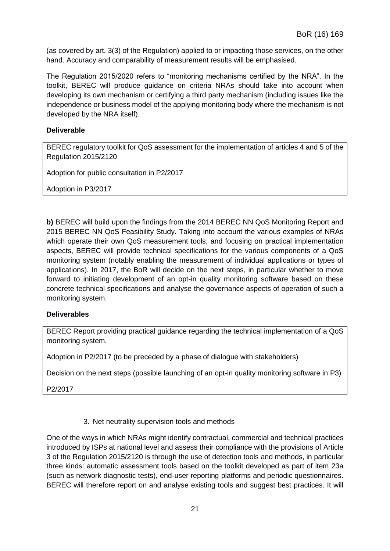(as covered by art. 3(3) of the Regulation) applied to or impacting those services, on the other hand. Accuracy and comparability of measurement results will be emphasised.

The Regulation 2015/2020 refers to "monitoring mechanisms certified by the NRA". In the toolkit, BEREC will produce guidance on criteria NRAs should take into account when developing its own mechanism or certifying a third party mechanism (including issues like the independence or business model of the applying monitoring body where the mechanism is not developed by the NRA itself).

# **Deliverable**

BEREC regulatory toolkit for QoS assessment for the implementation of articles 4 and 5 of the Regulation 2015/2120

Adoption for public consultation in P2/2017

Adoption in P3/2017

**b)** BEREC will build upon the findings from the 2014 BEREC NN QoS Monitoring Report and 2015 BEREC NN QoS Feasibility Study. Taking into account the various examples of NRAs which operate their own QoS measurement tools, and focusing on practical implementation aspects, BEREC will provide technical specifications for the various components of a QoS monitoring system (notably enabling the measurement of individual applications or types of applications). In 2017, the BoR will decide on the next steps, in particular whether to move forward to initiating development of an opt-in quality monitoring software based on these concrete technical specifications and analyse the governance aspects of operation of such a monitoring system.

#### **Deliverables**

BEREC Report providing practical guidance regarding the technical implementation of a QoS monitoring system.

Adoption in P2/2017 (to be preceded by a phase of dialogue with stakeholders)

Decision on the next steps (possible launching of an opt-in quality monitoring software in P3)

<span id="page-20-0"></span>P2/2017

3. Net neutrality supervision tools and methods

One of the ways in which NRAs might identify contractual, commercial and technical practices introduced by ISPs at national level and assess their compliance with the provisions of Article 3 of the Regulation 2015/2120 is through the use of detection tools and methods, in particular three kinds: automatic assessment tools based on the toolkit developed as part of item 23a (such as network diagnostic tests), end-user reporting platforms and periodic questionnaires. BEREC will therefore report on and analyse existing tools and suggest best practices. It will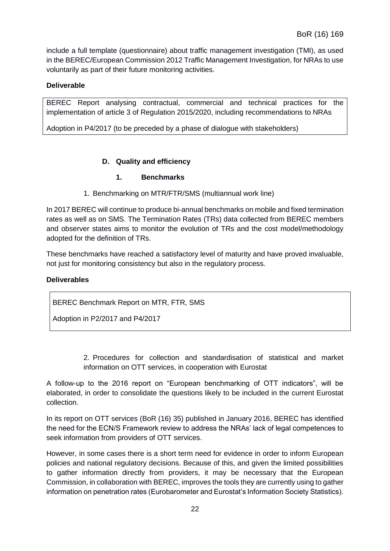include a full template (questionnaire) about traffic management investigation (TMI), as used in the BEREC/European Commission 2012 Traffic Management Investigation, for NRAs to use voluntarily as part of their future monitoring activities.

# **Deliverable**

BEREC Report analysing contractual, commercial and technical practices for the implementation of article 3 of Regulation 2015/2020, including recommendations to NRAs

<span id="page-21-0"></span>Adoption in P4/2017 (to be preceded by a phase of dialogue with stakeholders)

#### **D. Quality and efficiency**

#### **1. Benchmarks**

1. Benchmarking on MTR/FTR/SMS (multiannual work line)

<span id="page-21-1"></span>In 2017 BEREC will continue to produce bi-annual benchmarks on mobile and fixed termination rates as well as on SMS. The Termination Rates (TRs) data collected from BEREC members and observer states aims to monitor the evolution of TRs and the cost model/methodology adopted for the definition of TRs.

These benchmarks have reached a satisfactory level of maturity and have proved invaluable, not just for monitoring consistency but also in the regulatory process.

#### **Deliverables**

BEREC Benchmark Report on MTR, FTR, SMS

Adoption in P2/2017 and P4/2017

2. Procedures for collection and standardisation of statistical and market information on OTT services, in cooperation with Eurostat

<span id="page-21-2"></span>A follow-up to the 2016 report on "European benchmarking of OTT indicators", will be elaborated, in order to consolidate the questions likely to be included in the current Eurostat collection.

In its report on OTT services (BoR (16) 35) published in January 2016, BEREC has identified the need for the ECN/S Framework review to address the NRAs' lack of legal competences to seek information from providers of OTT services.

However, in some cases there is a short term need for evidence in order to inform European policies and national regulatory decisions. Because of this, and given the limited possibilities to gather information directly from providers, it may be necessary that the European Commission, in collaboration with BEREC, improves the tools they are currently using to gather information on penetration rates (Eurobarometer and Eurostat's Information Society Statistics).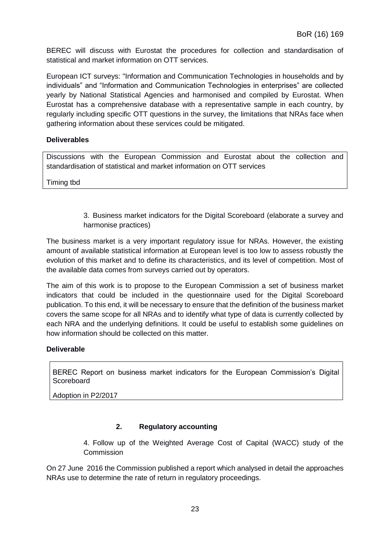BEREC will discuss with Eurostat the procedures for collection and standardisation of statistical and market information on OTT services.

European ICT surveys: "Information and Communication Technologies in households and by individuals" and "Information and Communication Technologies in enterprises" are collected yearly by National Statistical Agencies and harmonised and compiled by Eurostat. When Eurostat has a comprehensive database with a representative sample in each country, by regularly including specific OTT questions in the survey, the limitations that NRAs face when gathering information about these services could be mitigated.

#### **Deliverables**

Discussions with the European Commission and Eurostat about the collection and standardisation of statistical and market information on OTT services

<span id="page-22-0"></span>Timing tbd

3. Business market indicators for the Digital Scoreboard (elaborate a survey and harmonise practices)

The business market is a very important regulatory issue for NRAs. However, the existing amount of available statistical information at European level is too low to assess robustly the evolution of this market and to define its characteristics, and its level of competition. Most of the available data comes from surveys carried out by operators.

The aim of this work is to propose to the European Commission a set of business market indicators that could be included in the questionnaire used for the Digital Scoreboard publication. To this end, it will be necessary to ensure that the definition of the business market covers the same scope for all NRAs and to identify what type of data is currently collected by each NRA and the underlying definitions. It could be useful to establish some guidelines on how information should be collected on this matter.

# **Deliverable**

BEREC Report on business market indicators for the European Commission's Digital **Scoreboard** 

Adoption in P2/2017

# **2. Regulatory accounting**

4. Follow up of the Weighted Average Cost of Capital (WACC) study of the Commission

<span id="page-22-1"></span>On 27 June 2016 the Commission published a report which analysed in detail the approaches NRAs use to determine the rate of return in regulatory proceedings.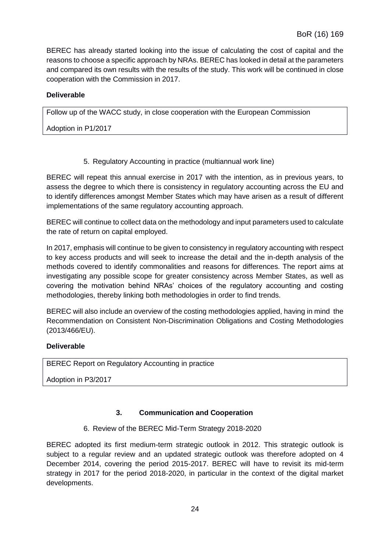BEREC has already started looking into the issue of calculating the cost of capital and the reasons to choose a specific approach by NRAs. BEREC has looked in detail at the parameters and compared its own results with the results of the study. This work will be continued in close cooperation with the Commission in 2017.

# **Deliverable**

Follow up of the WACC study, in close cooperation with the European Commission

Adoption in P1/2017

5. Regulatory Accounting in practice (multiannual work line)

<span id="page-23-0"></span>BEREC will repeat this annual exercise in 2017 with the intention, as in previous years, to assess the degree to which there is consistency in regulatory accounting across the EU and to identify differences amongst Member States which may have arisen as a result of different implementations of the same regulatory accounting approach.

BEREC will continue to collect data on the methodology and input parameters used to calculate the rate of return on capital employed.

In 2017, emphasis will continue to be given to consistency in regulatory accounting with respect to key access products and will seek to increase the detail and the in-depth analysis of the methods covered to identify commonalities and reasons for differences. The report aims at investigating any possible scope for greater consistency across Member States, as well as covering the motivation behind NRAs' choices of the regulatory accounting and costing methodologies, thereby linking both methodologies in order to find trends.

BEREC will also include an overview of the costing methodologies applied, having in mind the Recommendation on Consistent Non-Discrimination Obligations and Costing Methodologies (2013/466/EU).

#### **Deliverable**

BEREC Report on Regulatory Accounting in practice

Adoption in P3/2017

# **3. Communication and Cooperation**

6. Review of the BEREC Mid-Term Strategy 2018-2020

<span id="page-23-1"></span>BEREC adopted its first medium-term strategic outlook in 2012. This strategic outlook is subject to a regular review and an updated strategic outlook was therefore adopted on 4 December 2014, covering the period 2015-2017. BEREC will have to revisit its mid-term strategy in 2017 for the period 2018-2020, in particular in the context of the digital market developments.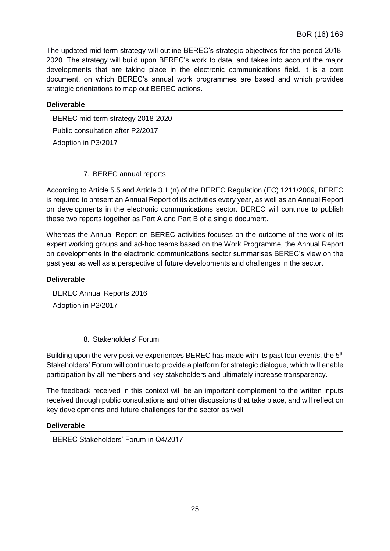The updated mid-term strategy will outline BEREC's strategic objectives for the period 2018- 2020. The strategy will build upon BEREC's work to date, and takes into account the major developments that are taking place in the electronic communications field. It is a core document, on which BEREC's annual work programmes are based and which provides strategic orientations to map out BEREC actions.

| <b>Deliverable</b> |  |  |
|--------------------|--|--|
|                    |  |  |

BEREC mid-term strategy 2018-2020 Public consultation after P2/2017 Adoption in P3/2017

# 7. BEREC annual reports

<span id="page-24-0"></span>According to Article 5.5 and Article 3.1 (n) of the BEREC Regulation (EC) 1211/2009, BEREC is required to present an Annual Report of its activities every year, as well as an Annual Report on developments in the electronic communications sector. BEREC will continue to publish these two reports together as Part A and Part B of a single document.

Whereas the Annual Report on BEREC activities focuses on the outcome of the work of its expert working groups and ad-hoc teams based on the Work Programme, the Annual Report on developments in the electronic communications sector summarises BEREC's view on the past year as well as a perspective of future developments and challenges in the sector.

| <b>Deliverable</b>        |  |  |
|---------------------------|--|--|
| BEREC Annual Reports 2016 |  |  |
| Adoption in P2/2017       |  |  |

8. Stakeholders' Forum

<span id="page-24-1"></span>Building upon the very positive experiences BEREC has made with its past four events, the  $5<sup>th</sup>$ Stakeholders' Forum will continue to provide a platform for strategic dialogue, which will enable participation by all members and key stakeholders and ultimately increase transparency.

The feedback received in this context will be an important complement to the written inputs received through public consultations and other discussions that take place, and will reflect on key developments and future challenges for the sector as well

# **Deliverable**

BEREC Stakeholders' Forum in Q4/2017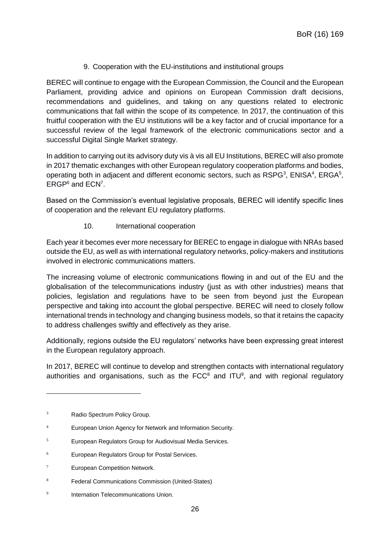9. Cooperation with the EU-institutions and institutional groups

<span id="page-25-0"></span>BEREC will continue to engage with the European Commission, the Council and the European Parliament, providing advice and opinions on European Commission draft decisions, recommendations and guidelines, and taking on any questions related to electronic communications that fall within the scope of its competence. In 2017, the continuation of this fruitful cooperation with the EU institutions will be a key factor and of crucial importance for a successful review of the legal framework of the electronic communications sector and a successful Digital Single Market strategy.

In addition to carrying out its advisory duty vis à vis all EU Institutions, BEREC will also promote in 2017 thematic exchanges with other European regulatory cooperation platforms and bodies, operating both in adjacent and different economic sectors, such as RSPG<sup>3</sup>, ENISA<sup>4</sup>, ERGA<sup>5</sup>, ERGP<sup>6</sup> and ECN<sup>7</sup>.

Based on the Commission's eventual legislative proposals, BEREC will identify specific lines of cooperation and the relevant EU regulatory platforms.

10. International cooperation

<span id="page-25-1"></span>Each year it becomes ever more necessary for BEREC to engage in dialogue with NRAs based outside the EU, as well as with international regulatory networks, policy-makers and institutions involved in electronic communications matters.

The increasing volume of electronic communications flowing in and out of the EU and the globalisation of the telecommunications industry (just as with other industries) means that policies, legislation and regulations have to be seen from beyond just the European perspective and taking into account the global perspective. BEREC will need to closely follow international trends in technology and changing business models, so that it retains the capacity to address challenges swiftly and effectively as they arise.

Additionally, regions outside the EU regulators' networks have been expressing great interest in the European regulatory approach.

In 2017, BEREC will continue to develop and strengthen contacts with international regulatory authorities and organisations, such as the  $\text{FCC}^8$  and  $\text{ITU}^9$ , and with regional regulatory

 $\overline{a}$ 

<sup>&</sup>lt;sup>3</sup> Radio Spectrum Policy Group.

<sup>4</sup> European Union Agency for Network and Information Security.

<sup>5</sup> European Regulators Group for Audiovisual Media Services.

<sup>6</sup> European Regulators Group for Postal Services.

 $7$  European Competition Network.

<sup>8</sup> Federal Communications Commission (United-States)

 $\alpha$ Internation Telecommunications Union.